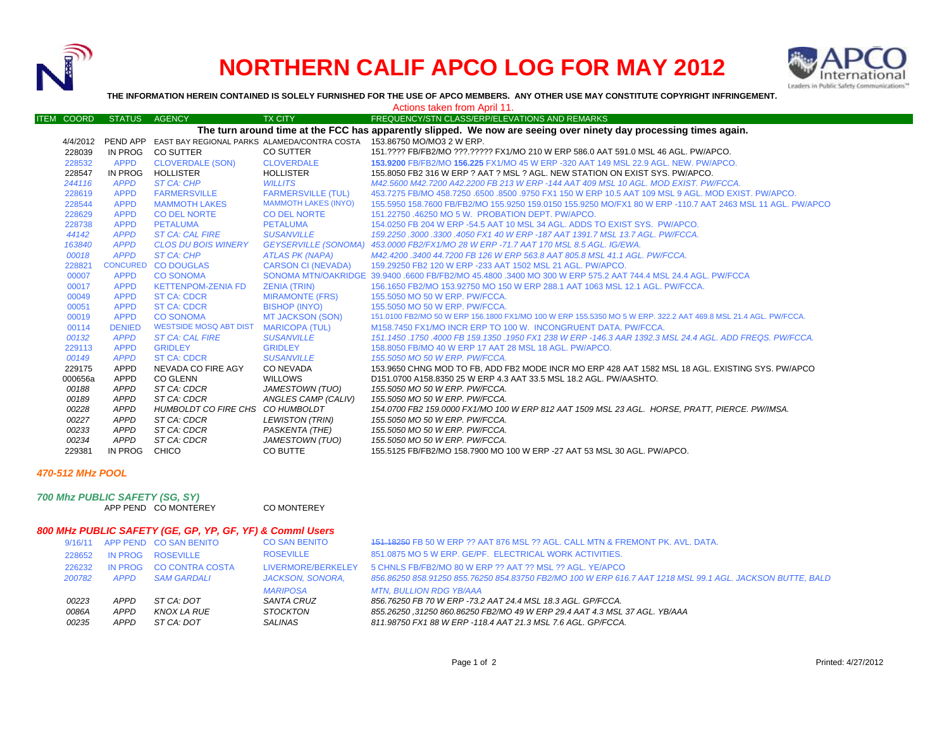

## **NORTHERN CALIF APCO LOG FOR MAY 2012**



**THE INFORMATION HEREIN CONTAINED IS SOLELY FURNISHED FOR THE USE OF APCO MEMBERS. ANY OTHER USE MAY CONSTITUTE COPYRIGHT INFRINGEMENT.**

|                                                                                                                   |                   |                 |                                  |                             | Actions taken from April 11.                                                                                   |  |  |  |
|-------------------------------------------------------------------------------------------------------------------|-------------------|-----------------|----------------------------------|-----------------------------|----------------------------------------------------------------------------------------------------------------|--|--|--|
|                                                                                                                   | <b>ITEM COORD</b> | <b>STATUS</b>   | <b>AGENCY</b>                    | <b>TX CITY</b>              | FREQUENCY/STN CLASS/ERP/ELEVATIONS AND REMARKS                                                                 |  |  |  |
| The turn around time at the FCC has apparently slipped. We now are seeing over ninety day processing times again. |                   |                 |                                  |                             |                                                                                                                |  |  |  |
|                                                                                                                   |                   |                 |                                  |                             | 4/4/2012 PEND APP EAST BAY REGIONAL PARKS ALAMEDA/CONTRA COSTA 153.86750 MO/MO3 2 W ERP.                       |  |  |  |
|                                                                                                                   | 228039            | IN PROG         | <b>CO SUTTER</b>                 | CO SUTTER                   | 151.???? FB/FB2/MO ???.????? FX1/MO 210 W ERP 586.0 AAT 591.0 MSL 46 AGL. PW/APCO.                             |  |  |  |
|                                                                                                                   | 228532            | <b>APPD</b>     | <b>CLOVERDALE (SON)</b>          | <b>CLOVERDALE</b>           | 153,9200 FB/FB2/MO 156,225 FX1/MO 45 W ERP -320 AAT 149 MSL 22.9 AGL. NEW. PW/APCO.                            |  |  |  |
|                                                                                                                   | 228547            | IN PROG         | <b>HOLLISTER</b>                 | <b>HOLLISTER</b>            | 155,8050 FB2 316 W ERP ? AAT ? MSL ? AGL. NEW STATION ON EXIST SYS. PW/APCO.                                   |  |  |  |
|                                                                                                                   | 244116            | <b>APPD</b>     | ST CA: CHP                       | <b>WILLITS</b>              | M42.5600 M42.7200 A42.2200 FB 213 W ERP -144 AAT 409 MSL 10 AGL, MOD EXIST, PW/FCCA,                           |  |  |  |
|                                                                                                                   | 228619            | <b>APPD</b>     | <b>FARMERSVILLE</b>              | <b>FARMERSVILLE (TUL)</b>   | 453.7275 FB/MO 458.7250 .6500 .8500 .9750 FX1 150 W ERP 10.5 AAT 109 MSL 9 AGL. MOD EXIST, PW/APCO,            |  |  |  |
|                                                                                                                   | 228544            | <b>APPD</b>     | <b>MAMMOTH LAKES</b>             | <b>MAMMOTH LAKES (INYO)</b> | 155.5950 158.7600 FB/FB2/MO 155.9250 159.0150 155.9250 MO/FX1 80 W ERP -110.7 AAT 2463 MSL 11 AGL. PW/APCO     |  |  |  |
|                                                                                                                   | 228629            | <b>APPD</b>     | <b>CO DEL NORTE</b>              | <b>CO DEL NORTE</b>         | 151.22750 .46250 MO 5 W. PROBATION DEPT. PW/APCO.                                                              |  |  |  |
|                                                                                                                   | 228738            | <b>APPD</b>     | <b>PETALUMA</b>                  | <b>PETALUMA</b>             | 154.0250 FB 204 W ERP -54.5 AAT 10 MSL 34 AGL. ADDS TO EXIST SYS. PW/APCO.                                     |  |  |  |
|                                                                                                                   | 44142             | <b>APPD</b>     | <b>ST CA: CAL FIRE</b>           | <b>SUSANVILLE</b>           | 159.2250 .3000 .3300 .4050 FX1 40 W ERP -187 AAT 1391.7 MSL 13.7 AGL. PW/FCCA.                                 |  |  |  |
|                                                                                                                   | 163840            | <b>APPD</b>     | <b>CLOS DU BOIS WINERY</b>       |                             | GEYSERVILLE (SONOMA) 453.0000 FB2/FX1/MO 28 W ERP -71.7 AAT 170 MSL 8.5 AGL. IG/EWA.                           |  |  |  |
|                                                                                                                   | 00018             | <b>APPD</b>     | ST CA: CHP                       | <b>ATLAS PK (NAPA)</b>      | M42.4200.3400 44.7200 FB 126 W ERP 563.8 AAT 805.8 MSL 41.1 AGL, PW/FCCA,                                      |  |  |  |
|                                                                                                                   | 228821            | <b>CONCURED</b> | <b>CO DOUGLAS</b>                | <b>CARSON CI (NEVADA)</b>   | 159.29250 FB2 120 W ERP -233 AAT 1502 MSL 21 AGL, PW/APCO.                                                     |  |  |  |
|                                                                                                                   | 00007             | <b>APPD</b>     | <b>CO SONOMA</b>                 |                             | SONOMA MTN/OAKRIDGE 39.9400 .6600 FB/FB2/MO 45.4800 .3400 MO 300 W ERP 575.2 AAT 744.4 MSL 24.4 AGL. PW/FCCA   |  |  |  |
|                                                                                                                   | 00017             | <b>APPD</b>     | <b>KETTENPOM-ZENIA FD</b>        | <b>ZENIA (TRIN)</b>         | 156.1650 FB2/MO 153.92750 MO 150 W ERP 288.1 AAT 1063 MSL 12.1 AGL, PW/FCCA.                                   |  |  |  |
|                                                                                                                   | 00049             | <b>APPD</b>     | <b>ST CA: CDCR</b>               | <b>MIRAMONTE (FRS)</b>      | 155,5050 MO 50 W ERP. PW/FCCA.                                                                                 |  |  |  |
|                                                                                                                   | 00051             | <b>APPD</b>     | <b>ST CA: CDCR</b>               | <b>BISHOP (INYO)</b>        | 155,5050 MO 50 W ERP. PW/FCCA.                                                                                 |  |  |  |
|                                                                                                                   | 00019             | <b>APPD</b>     | <b>CO SONOMA</b>                 | <b>MT JACKSON (SON)</b>     | 151.0100 FB2/MO 50 W ERP 156.1800 FX1/MO 100 W ERP 155.5350 MO 5 W ERP. 322.2 AAT 469.8 MSL 21.4 AGL. PW/FCCA. |  |  |  |
|                                                                                                                   | 00114             | <b>DENIED</b>   | <b>WESTSIDE MOSQ ABT DIST</b>    | <b>MARICOPA (TUL)</b>       | M158.7450 FX1/MO INCR ERP TO 100 W. INCONGRUENT DATA, PW/FCCA.                                                 |  |  |  |
|                                                                                                                   | 00132             | <b>APPD</b>     | <b>ST CA: CAL FIRE</b>           | <b>SUSANVILLE</b>           | 151.1450.1750.4000 FB 159.1350.1950 FX1 238 W ERP -146.3 AAR 1392.3 MSL 24.4 AGL. ADD FREQS. PW/FCCA.          |  |  |  |
|                                                                                                                   | 229113            | <b>APPD</b>     | <b>GRIDLEY</b>                   | <b>GRIDLEY</b>              | 158,8050 FB/MO 40 W ERP 17 AAT 28 MSL 18 AGL, PW/APCO.                                                         |  |  |  |
|                                                                                                                   | 00149             | <b>APPD</b>     | <b>ST CA: CDCR</b>               | <b>SUSANVILLE</b>           | 155.5050 MO 50 W ERP. PW/FCCA.                                                                                 |  |  |  |
|                                                                                                                   | 229175            | APPD            | NEVADA CO FIRE AGY               | CO NEVADA                   | 153.9650 CHNG MOD TO FB. ADD FB2 MODE INCR MO ERP 428 AAT 1582 MSL 18 AGL. EXISTING SYS. PW/APCO               |  |  |  |
|                                                                                                                   | 000656a           | APPD            | <b>CO GLENN</b>                  | WILLOWS                     | D151.0700 A158.8350 25 W ERP 4.3 AAT 33.5 MSL 18.2 AGL, PW/AASHTO.                                             |  |  |  |
|                                                                                                                   | 00188             | <b>APPD</b>     | ST CA: CDCR                      | JAMESTOWN (TUO)             | 155.5050 MO 50 W ERP. PW/FCCA.                                                                                 |  |  |  |
|                                                                                                                   | 00189             | APPD            | ST CA: CDCR                      | ANGLES CAMP (CALIV)         | 155.5050 MO 50 W ERP. PW/FCCA.                                                                                 |  |  |  |
|                                                                                                                   | 00228             | <b>APPD</b>     | HUMBOLDT CO FIRE CHS CO HUMBOLDT |                             | 154.0700 FB2 159.0000 FX1/MO 100 W ERP 812 AAT 1509 MSL 23 AGL. HORSE. PRATT. PIERCE. PW/IMSA.                 |  |  |  |
|                                                                                                                   | 00227             | <b>APPD</b>     | ST CA: CDCR                      | LEWISTON (TRIN)             | 155.5050 MO 50 W ERP. PW/FCCA.                                                                                 |  |  |  |
|                                                                                                                   | 00233             | <b>APPD</b>     | ST CA: CDCR                      | PASKENTA (THE)              | 155.5050 MO 50 W ERP. PW/FCCA.                                                                                 |  |  |  |
|                                                                                                                   | 00234             | APPD            | ST CA: CDCR                      | JAMESTOWN (TUO)             | 155.5050 MO 50 W ERP. PW/FCCA.                                                                                 |  |  |  |
|                                                                                                                   | 229381            | IN PROG         | CHICO                            | CO BUTTE                    | 155.5125 FB/FB2/MO 158.7900 MO 100 W ERP -27 AAT 53 MSL 30 AGL, PW/APCO.                                       |  |  |  |

## *470-512 MHz POOL*

*700 Mhz PUBLIC SAFETY (SG, SY)* APP PEND CO MONTEREY CO MONTEREY

## *800 MHz PUBLIC SAFETY (GE, GP, YP, GF, YF) & Comml Users*

|        |             | 9/16/11 APP PEND CO SAN BENITO | <b>CO SAN BENITO</b>    | 151,18250 FB 50 W ERP ?? AAT 876 MSL ?? AGL. CALL MTN & FREMONT PK, AVL, DATA.                            |
|--------|-------------|--------------------------------|-------------------------|-----------------------------------------------------------------------------------------------------------|
| 228652 |             | IN PROG ROSEVILLE              | <b>ROSEVILLE</b>        | 851.0875 MO 5 W ERP. GE/PF. ELECTRICAL WORK ACTIVITIES.                                                   |
| 226232 |             | IN PROG CO CONTRA COSTA        | LIVERMORE/BERKELEY      | 5 CHNLS FB/FB2/MO 80 W ERP ?? AAT ?? MSL ?? AGL, YE/APCO                                                  |
| 200782 | <b>APPD</b> | <b>SAM GARDALI</b>             | <b>JACKSON, SONORA.</b> | 856.86250 858.91250 855.76250 854.83750 FB2/MO 100 W ERP 616.7 AAT 1218 MSL 99.1 AGL. JACKSON BUTTE, BALD |
|        |             |                                | MARIPOSA                | <b>MTN. BULLION RDG YB/AAA</b>                                                                            |
| 00223  | APPD        | ST CA: DOT                     | SANTA CRUZ              | 856.76250 FB 70 W ERP -73.2 AAT 24.4 MSL 18.3 AGL. GP/FCCA.                                               |
| 0086A  | APPD        | KNOX LA RUE                    | <b>STOCKTON</b>         | 855.26250,31250 860.86250 FB2/MO 49 W ERP 29.4 AAT 4.3 MSL 37 AGL. YB/AAA                                 |
| 00235  | APPD        | ST CA: DOT                     | SALINAS                 | 811.98750 FX1 88 W ERP -118.4 AAT 21.3 MSL 7.6 AGL, GP/FCCA.                                              |